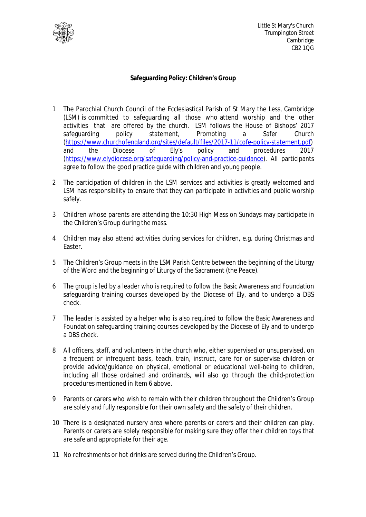

Little St Mary's Church Trumpington Street Cambridge CB2 1QG

## **Safeguarding Policy: Children's Group**

- 1 The Parochial Church Council of the Ecclesiastical Parish of St Mary the Less, Cambridge (LSM) is committed to safeguarding all those who attend worship and the other activities that are offered by the church. LSM follows the House of Bishops' 2017 safeguarding policy statement, Promoting a Safer Church (https://www.churchofengland.org/sites/default/files/2017-11/cofe-policy-statement.pdf) and the Diocese of Ely's policy and procedures 2017 (https://www.elydiocese.org/safeguarding/policy-and-practice-guidance). All participants agree to follow the good practice guide with children and young people.
- 2 The participation of children in the LSM services and activities is greatly welcomed and LSM has responsibility to ensure that they can participate in activities and public worship safely.
- 3 Children whose parents are attending the 10:30 High Mass on Sundays may participate in the Children's Group during the mass.
- 4 Children may also attend activities during services for children, e.g. during Christmas and Easter.
- 5 The Children's Group meets in the LSM Parish Centre between the beginning of the Liturgy of the Word and the beginning of Liturgy of the Sacrament (the Peace).
- 6 The group is led by a leader who is required to follow the Basic Awareness and Foundation safeguarding training courses developed by the Diocese of Ely, and to undergo a DBS check.
- 7 The leader is assisted by a helper who is also required to follow the Basic Awareness and Foundation safeguarding training courses developed by the Diocese of Ely and to undergo a DBS check.
- 8 All officers, staff, and volunteers in the church who, either supervised or unsupervised, on a frequent or infrequent basis, teach, train, instruct, care for or supervise children or provide advice/guidance on physical, emotional or educational well-being to children, including all those ordained and ordinands, will also go through the child-protection procedures mentioned in Item 6 above.
- 9 Parents or carers who wish to remain with their children throughout the Children's Group are solely and fully responsible for their own safety and the safety of their children.
- 10 There is a designated nursery area where parents or carers and their children can play. Parents or carers are solely responsible for making sure they offer their children toys that are safe and appropriate for their age.
- 11 No refreshments or hot drinks are served during the Children's Group.